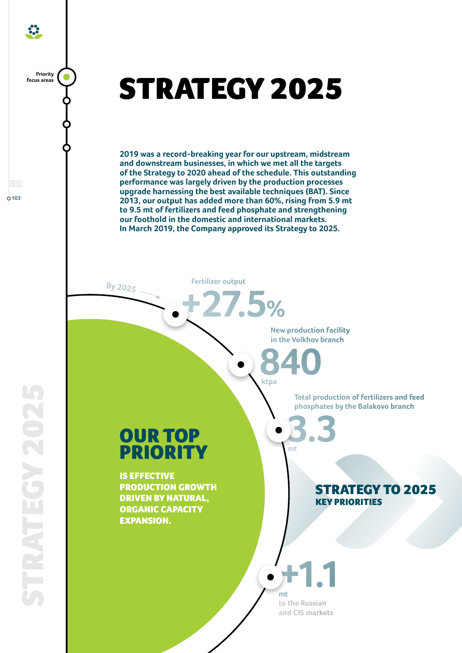